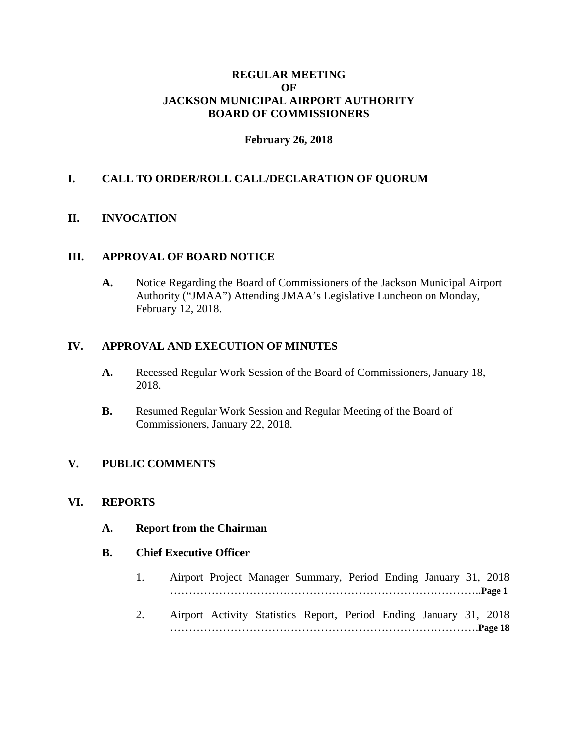#### **REGULAR MEETING OF JACKSON MUNICIPAL AIRPORT AUTHORITY BOARD OF COMMISSIONERS**

#### **February 26, 2018**

### **I. CALL TO ORDER/ROLL CALL/DECLARATION OF QUORUM**

#### **II. INVOCATION**

#### **III. APPROVAL OF BOARD NOTICE**

**A.** Notice Regarding the Board of Commissioners of the Jackson Municipal Airport Authority ("JMAA") Attending JMAA's Legislative Luncheon on Monday, February 12, 2018.

#### **IV. APPROVAL AND EXECUTION OF MINUTES**

- **A.** Recessed Regular Work Session of the Board of Commissioners, January 18, 2018.
- **B.** Resumed Regular Work Session and Regular Meeting of the Board of Commissioners, January 22, 2018.

# **V. PUBLIC COMMENTS**

#### **VI. REPORTS**

**A. Report from the Chairman**

#### **B. Chief Executive Officer**

- 1. Airport Project Manager Summary, Period Ending January 31, 2018 ………………………………………………………………………..**Page 1**
- 2. Airport Activity Statistics Report, Period Ending January 31, 2018 ……………………………………………………………………….**Page 18**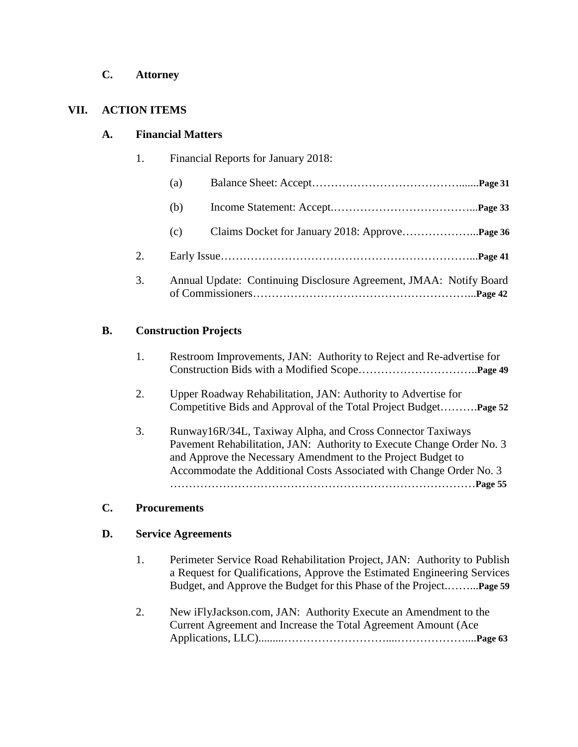**C. Attorney**

# **VII. ACTION ITEMS**

# **A. Financial Matters**

| Financial Reports for January 2018: |
|-------------------------------------|
|                                     |

|    | (a) |                                                                    |  |
|----|-----|--------------------------------------------------------------------|--|
|    | (b) |                                                                    |  |
|    | (c) |                                                                    |  |
| 2. |     |                                                                    |  |
| 3. |     | Annual Update: Continuing Disclosure Agreement, JMAA: Notify Board |  |

# **B. Construction Projects**

- 1. Restroom Improvements, JAN: Authority to Reject and Re-advertise for Construction Bids with a Modified Scope…………………………..**Page 49**
- 2. Upper Roadway Rehabilitation, JAN: Authority to Advertise for Competitive Bids and Approval of the Total Project Budget……….**Page 52**
- 3. Runway16R/34L, Taxiway Alpha, and Cross Connector Taxiways Pavement Rehabilitation, JAN: Authority to Execute Change Order No. 3 and Approve the Necessary Amendment to the Project Budget to Accommodate the Additional Costs Associated with Change Order No. 3 ………………………………………………………………………**Page 55**

# **C. Procurements**

# **D. Service Agreements**

- 1. Perimeter Service Road Rehabilitation Project, JAN: Authority to Publish a Request for Qualifications, Approve the Estimated Engineering Services Budget, and Approve the Budget for this Phase of the Project.……...**Page 59**
- 2. New iFlyJackson.com, JAN: Authority Execute an Amendment to the Current Agreement and Increase the Total Agreement Amount (Ace Applications, LLC).........………………………....………………....**Page 63**